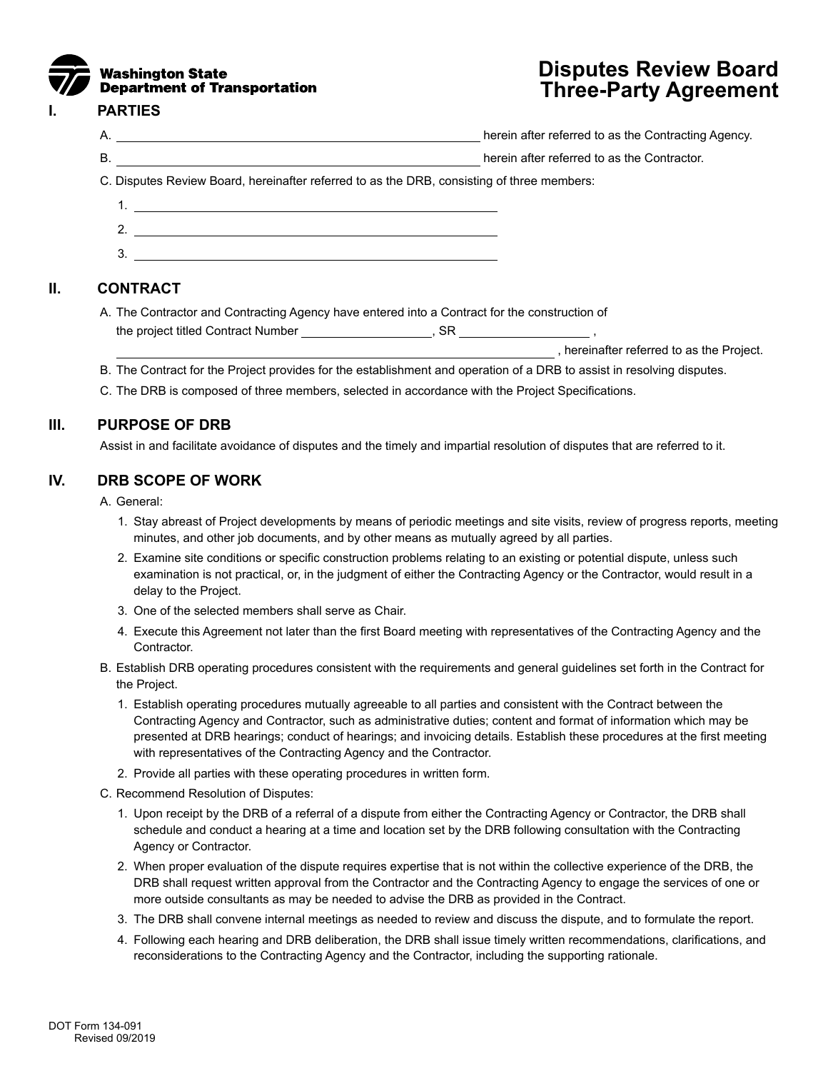

# **Disputes Review Board Three-Party Agreement**

#### **I. PARTIES**

A. herein after referred to as the Contracting Agency.

B. herein after referred to as the Contractor.

C. Disputes Review Board, hereinafter referred to as the DRB, consisting of three members:

- 1. 2.
- 3.

## **II. CONTRACT**

A. The Contractor and Contracting Agency have entered into a Contract for the construction of the project titled Contract Number , SR

, hereinafter referred to as the Project.

- B. The Contract for the Project provides for the establishment and operation of a DRB to assist in resolving disputes.
- C. The DRB is composed of three members, selected in accordance with the Project Specifications.

## **III. PURPOSE OF DRB**

Assist in and facilitate avoidance of disputes and the timely and impartial resolution of disputes that are referred to it.

## **IV. DRB SCOPE OF WORK**

A. General:

- 1. Stay abreast of Project developments by means of periodic meetings and site visits, review of progress reports, meeting minutes, and other job documents, and by other means as mutually agreed by all parties.
- 2. Examine site conditions or specific construction problems relating to an existing or potential dispute, unless such examination is not practical, or, in the judgment of either the Contracting Agency or the Contractor, would result in a delay to the Project.
- 3. One of the selected members shall serve as Chair.
- 4. Execute this Agreement not later than the first Board meeting with representatives of the Contracting Agency and the Contractor.
- B. Establish DRB operating procedures consistent with the requirements and general guidelines set forth in the Contract for the Project.
	- 1. Establish operating procedures mutually agreeable to all parties and consistent with the Contract between the Contracting Agency and Contractor, such as administrative duties; content and format of information which may be presented at DRB hearings; conduct of hearings; and invoicing details. Establish these procedures at the first meeting with representatives of the Contracting Agency and the Contractor.
	- 2. Provide all parties with these operating procedures in written form.
- C. Recommend Resolution of Disputes:
	- 1. Upon receipt by the DRB of a referral of a dispute from either the Contracting Agency or Contractor, the DRB shall schedule and conduct a hearing at a time and location set by the DRB following consultation with the Contracting Agency or Contractor.
	- 2. When proper evaluation of the dispute requires expertise that is not within the collective experience of the DRB, the DRB shall request written approval from the Contractor and the Contracting Agency to engage the services of one or more outside consultants as may be needed to advise the DRB as provided in the Contract.
	- 3. The DRB shall convene internal meetings as needed to review and discuss the dispute, and to formulate the report.
	- 4. Following each hearing and DRB deliberation, the DRB shall issue timely written recommendations, clarifications, and reconsiderations to the Contracting Agency and the Contractor, including the supporting rationale.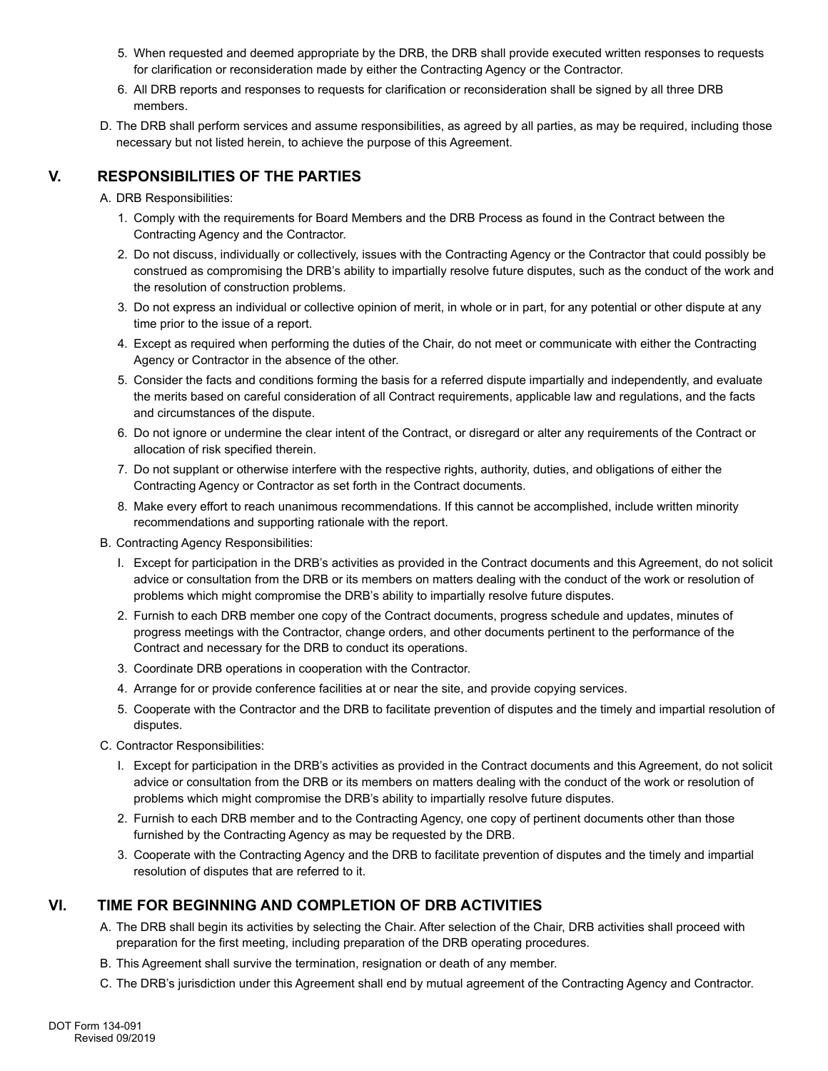- 5. When requested and deemed appropriate by the DRB, the DRB shall provide executed written responses to requests for clarification or reconsideration made by either the Contracting Agency or the Contractor.
- 6. All DRB reports and responses to requests for clarification or reconsideration shall be signed by all three DRB members.
- D. The DRB shall perform services and assume responsibilities, as agreed by all parties, as may be required, including those necessary but not listed herein, to achieve the purpose of this Agreement.

# **V. RESPONSIBILITIES OF THE PARTIES**

#### A. DRB Responsibilities:

- 1. Comply with the requirements for Board Members and the DRB Process as found in the Contract between the Contracting Agency and the Contractor.
- 2. Do not discuss, individually or collectively, issues with the Contracting Agency or the Contractor that could possibly be construed as compromising the DRB's ability to impartially resolve future disputes, such as the conduct of the work and the resolution of construction problems.
- 3. Do not express an individual or collective opinion of merit, in whole or in part, for any potential or other dispute at any time prior to the issue of a report.
- 4. Except as required when performing the duties of the Chair, do not meet or communicate with either the Contracting Agency or Contractor in the absence of the other.
- 5. Consider the facts and conditions forming the basis for a referred dispute impartially and independently, and evaluate the merits based on careful consideration of all Contract requirements, applicable law and regulations, and the facts and circumstances of the dispute.
- 6. Do not ignore or undermine the clear intent of the Contract, or disregard or alter any requirements of the Contract or allocation of risk specified therein.
- 7. Do not supplant or otherwise interfere with the respective rights, authority, duties, and obligations of either the Contracting Agency or Contractor as set forth in the Contract documents.
- 8. Make every effort to reach unanimous recommendations. If this cannot be accomplished, include written minority recommendations and supporting rationale with the report.
- B. Contracting Agency Responsibilities:
	- I. Except for participation in the DRB's activities as provided in the Contract documents and this Agreement, do not solicit advice or consultation from the DRB or its members on matters dealing with the conduct of the work or resolution of problems which might compromise the DRB's ability to impartially resolve future disputes.
	- 2. Furnish to each DRB member one copy of the Contract documents, progress schedule and updates, minutes of progress meetings with the Contractor, change orders, and other documents pertinent to the performance of the Contract and necessary for the DRB to conduct its operations.
	- 3. Coordinate DRB operations in cooperation with the Contractor.
	- 4. Arrange for or provide conference facilities at or near the site, and provide copying services.
	- 5. Cooperate with the Contractor and the DRB to facilitate prevention of disputes and the timely and impartial resolution of disputes.
- C. Contractor Responsibilities:
	- I. Except for participation in the DRB's activities as provided in the Contract documents and this Agreement, do not solicit advice or consultation from the DRB or its members on matters dealing with the conduct of the work or resolution of problems which might compromise the DRB's ability to impartially resolve future disputes.
	- 2. Furnish to each DRB member and to the Contracting Agency, one copy of pertinent documents other than those furnished by the Contracting Agency as may be requested by the DRB.
	- 3. Cooperate with the Contracting Agency and the DRB to facilitate prevention of disputes and the timely and impartial resolution of disputes that are referred to it.

# **VI. TIME FOR BEGINNING AND COMPLETION OF DRB ACTIVITIES**

- A. The DRB shall begin its activities by selecting the Chair. After selection of the Chair, DRB activities shall proceed with preparation for the first meeting, including preparation of the DRB operating procedures.
- B. This Agreement shall survive the termination, resignation or death of any member.
- C. The DRB's jurisdiction under this Agreement shall end by mutual agreement of the Contracting Agency and Contractor.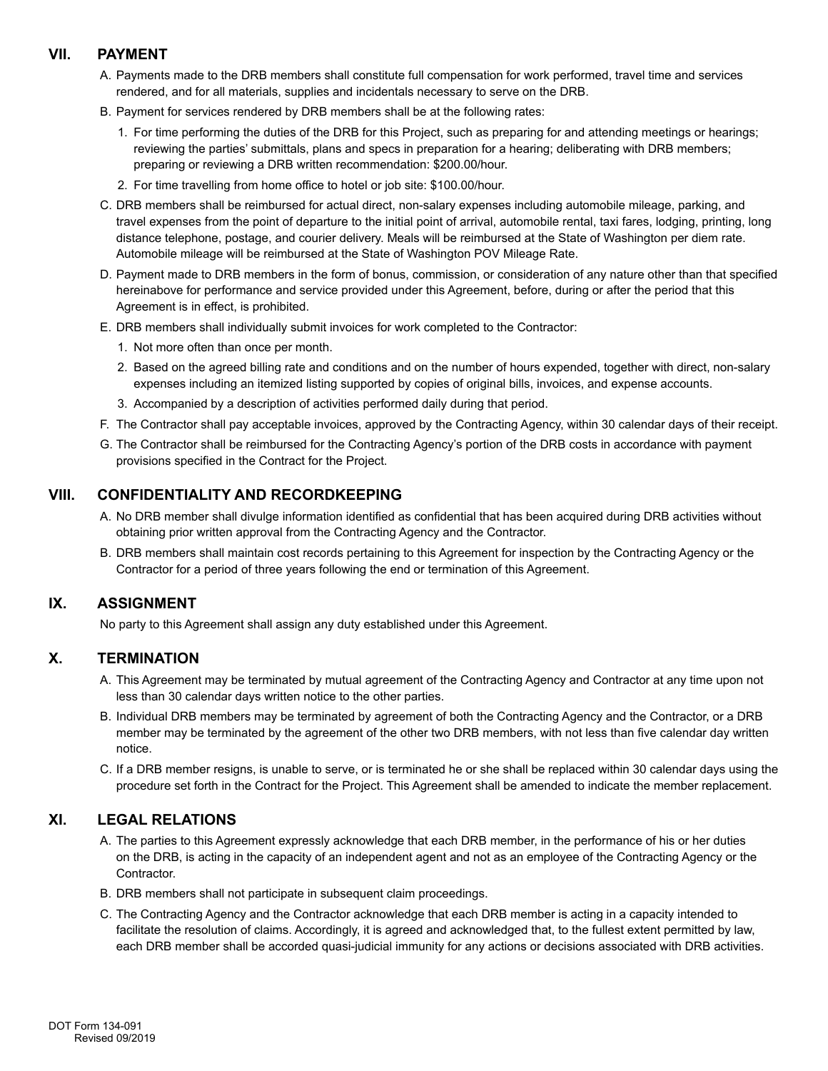## **VII. PAYMENT**

- A. Payments made to the DRB members shall constitute full compensation for work performed, travel time and services rendered, and for all materials, supplies and incidentals necessary to serve on the DRB.
- B. Payment for services rendered by DRB members shall be at the following rates:
	- 1. For time performing the duties of the DRB for this Project, such as preparing for and attending meetings or hearings; reviewing the parties' submittals, plans and specs in preparation for a hearing; deliberating with DRB members; preparing or reviewing a DRB written recommendation: \$200.00/hour.
	- 2. For time travelling from home office to hotel or job site: \$100.00/hour.
- C. DRB members shall be reimbursed for actual direct, non-salary expenses including automobile mileage, parking, and travel expenses from the point of departure to the initial point of arrival, automobile rental, taxi fares, lodging, printing, long distance telephone, postage, and courier delivery. Meals will be reimbursed at the State of Washington per diem rate. Automobile mileage will be reimbursed at the State of Washington POV Mileage Rate.
- D. Payment made to DRB members in the form of bonus, commission, or consideration of any nature other than that specified hereinabove for performance and service provided under this Agreement, before, during or after the period that this Agreement is in effect, is prohibited.
- E. DRB members shall individually submit invoices for work completed to the Contractor:
	- 1. Not more often than once per month.
	- 2. Based on the agreed billing rate and conditions and on the number of hours expended, together with direct, non-salary expenses including an itemized listing supported by copies of original bills, invoices, and expense accounts.
	- 3. Accompanied by a description of activities performed daily during that period.
- F. The Contractor shall pay acceptable invoices, approved by the Contracting Agency, within 30 calendar days of their receipt.
- G. The Contractor shall be reimbursed for the Contracting Agency's portion of the DRB costs in accordance with payment provisions specified in the Contract for the Project.

#### **VIII. CONFIDENTIALITY AND RECORDKEEPING**

- A. No DRB member shall divulge information identified as confidential that has been acquired during DRB activities without obtaining prior written approval from the Contracting Agency and the Contractor.
- B. DRB members shall maintain cost records pertaining to this Agreement for inspection by the Contracting Agency or the Contractor for a period of three years following the end or termination of this Agreement.

## **IX. ASSIGNMENT**

No party to this Agreement shall assign any duty established under this Agreement.

#### **X. TERMINATION**

- A. This Agreement may be terminated by mutual agreement of the Contracting Agency and Contractor at any time upon not less than 30 calendar days written notice to the other parties.
- B. Individual DRB members may be terminated by agreement of both the Contracting Agency and the Contractor, or a DRB member may be terminated by the agreement of the other two DRB members, with not less than five calendar day written notice.
- C. If a DRB member resigns, is unable to serve, or is terminated he or she shall be replaced within 30 calendar days using the procedure set forth in the Contract for the Project. This Agreement shall be amended to indicate the member replacement.

## **XI. LEGAL RELATIONS**

- A. The parties to this Agreement expressly acknowledge that each DRB member, in the performance of his or her duties on the DRB, is acting in the capacity of an independent agent and not as an employee of the Contracting Agency or the Contractor.
- B. DRB members shall not participate in subsequent claim proceedings.
- C. The Contracting Agency and the Contractor acknowledge that each DRB member is acting in a capacity intended to facilitate the resolution of claims. Accordingly, it is agreed and acknowledged that, to the fullest extent permitted by law, each DRB member shall be accorded quasi-judicial immunity for any actions or decisions associated with DRB activities.